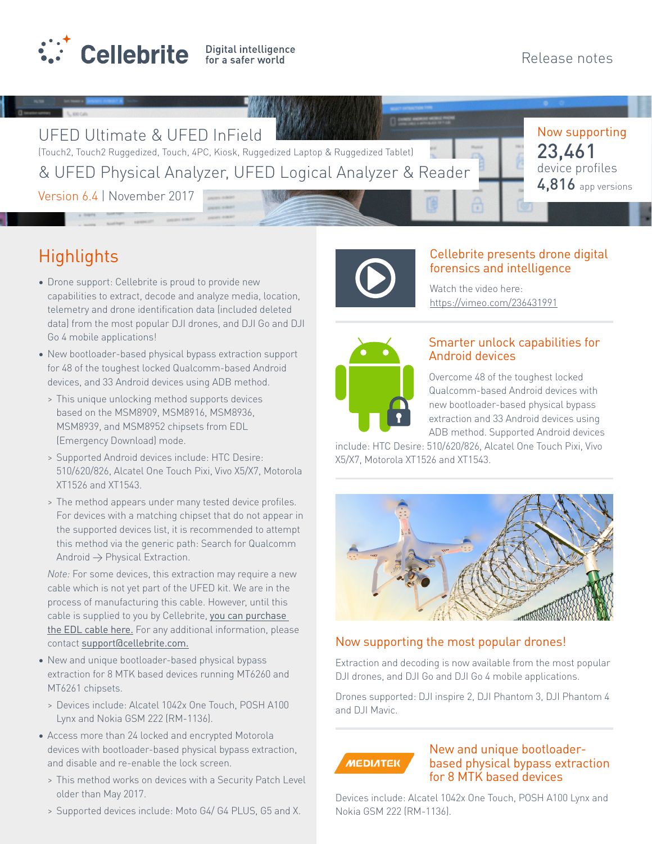

Now supporting

device profiles 23,461

4,816 app versions

UFED Ultimate & UFED InField

(Touch2, Touch2 Ruggedized, Touch, 4PC, Kiosk, Ruggedized Laptop & Ruggedized Tablet) & UFED Physical Analyzer, UFED Logical Analyzer & Reader

Version 6.4 | November 2017

# **Highlights**

- Drone support: Cellebrite is proud to provide new capabilities to extract, decode and analyze media, location, telemetry and drone identification data (included deleted data) from the most popular DJI drones, and DJI Go and DJI Go 4 mobile applications!
- New bootloader-based physical bypass extraction support for 48 of the toughest locked Qualcomm-based Android devices, and 33 Android devices using ADB method.
	- > This unique unlocking method supports devices based on the MSM8909, MSM8916, MSM8936, MSM8939, and MSM8952 chipsets from EDL (Emergency Download) mode.
	- > Supported Android devices include: HTC Desire: 510/620/826, Alcatel One Touch Pixi, Vivo X5/X7, Motorola XT1526 and XT1543.
	- > The method appears under many tested device profiles. For devices with a matching chipset that do not appear in the supported devices list, it is recommended to attempt this method via the generic path: Search for Qualcomm Android  $\rightarrow$  Physical Extraction.

*Note:* For some devices, this extraction may require a new cable which is not yet part of the UFED kit. We are in the process of manufacturing this cable. However, until this cable is supplied to you by Cellebrite, you can purchase [the EDL cable here.](http://shop.gpgindustries.com/product/gpgindustries-cables-and-adaptors/edl-cable_2668_en.html?pb=108&pc=2) For any additional information, please contact [support@cellebrite.com.](mailto:support%40cellebrite.com?subject=)

- New and unique bootloader-based physical bypass extraction for 8 MTK based devices running MT6260 and MT6261 chipsets.
	- > Devices include: Alcatel 1042x One Touch, POSH A100 Lynx and Nokia GSM 222 (RM-1136).
- Access more than 24 locked and encrypted Motorola devices with bootloader-based physical bypass extraction, and disable and re-enable the lock screen.
	- > This method works on devices with a Security Patch Level older than May 2017.
	- > Supported devices include: Moto G4/ G4 PLUS, G5 and X.



# Cellebrite presents drone digital forensics and intelligence

Watch the video here: https://vimeo.com/236431991



# Smarter unlock capabilities for Android devices

Overcome 48 of the toughest locked Qualcomm-based Android devices with new bootloader-based physical bypass extraction and 33 Android devices using ADB method. Supported Android devices

include: HTC Desire: 510/620/826, Alcatel One Touch Pixi, Vivo X5/X7, Motorola XT1526 and XT1543.



# Now supporting the most popular drones!

Extraction and decoding is now available from the most popular DJI drones, and DJI Go and DJI Go 4 mobile applications.

Drones supported: DJI inspire 2, DJI Phantom 3, DJI Phantom 4 and DJI Mavic.

**MEDIATEK** 

## New and unique bootloaderbased physical bypass extraction for 8 MTK based devices

Devices include: Alcatel 1042x One Touch, POSH A100 Lynx and Nokia GSM 222 (RM-1136).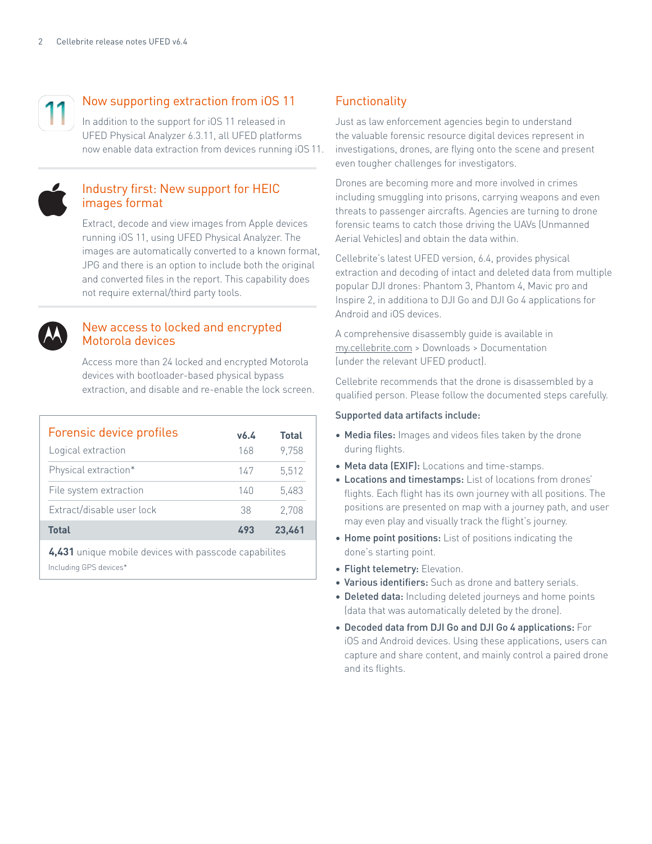

# Now supporting extraction from iOS 11

In addition to the support for iOS 11 released in UFED Physical Analyzer 6.3.11, all UFED platforms now enable data extraction from devices running iOS 11.



#### Industry first: New support for HEIC images format

Extract, decode and view images from Apple devices running iOS 11, using UFED Physical Analyzer. The images are automatically converted to a known format, JPG and there is an option to include both the original and converted files in the report. This capability does not require external/third party tools.



#### New access to locked and encrypted Motorola devices

Access more than 24 locked and encrypted Motorola devices with bootloader-based physical bypass extraction, and disable and re-enable the lock screen.

| Forensic device profiles  | v6.4 | <b>Total</b> |
|---------------------------|------|--------------|
| Logical extraction        | 168  | 9,758        |
| Physical extraction*      | 147  | 5.512        |
| File system extraction    | 140  | 5,483        |
| Extract/disable user lock | 38   | 2.708        |
| <b>Total</b>              | 493  | 23.461       |
|                           |      |              |

Including GPS devices\* **4,431** unique mobile devices with passcode capabilites

# **Functionality**

Just as law enforcement agencies begin to understand the valuable forensic resource digital devices represent in investigations, drones, are flying onto the scene and present even tougher challenges for investigators.

Drones are becoming more and more involved in crimes including smuggling into prisons, carrying weapons and even threats to passenger aircrafts. Agencies are turning to drone forensic teams to catch those driving the UAVs (Unmanned Aerial Vehicles) and obtain the data within.

Cellebrite's latest UFED version, 6.4, provides physical extraction and decoding of intact and deleted data from multiple popular DJI drones: Phantom 3, Phantom 4, Mavic pro and Inspire 2, in additiona to DJI Go and DJI Go 4 applications for Android and iOS devices.

A comprehensive disassembly guide is available in [my.cellebrite.com](http://my.cellebrite.com) > Downloads > Documentation (under the relevant UFED product).

Cellebrite recommends that the drone is disassembled by a qualified person. Please follow the documented steps carefully.

#### Supported data artifacts include:

- Media files: Images and videos files taken by the drone during flights.
- Meta data (EXIF): Locations and time-stamps.
- Locations and timestamps: List of locations from drones' flights. Each flight has its own journey with all positions. The positions are presented on map with a journey path, and user may even play and visually track the flight's journey.
- Home point positions: List of positions indicating the done's starting point.
- Flight telemetry: Elevation.
- Various identifiers: Such as drone and battery serials.
- Deleted data: Including deleted journeys and home points (data that was automatically deleted by the drone).
- Decoded data from DJI Go and DJI Go 4 applications: For iOS and Android devices. Using these applications, users can capture and share content, and mainly control a paired drone and its flights.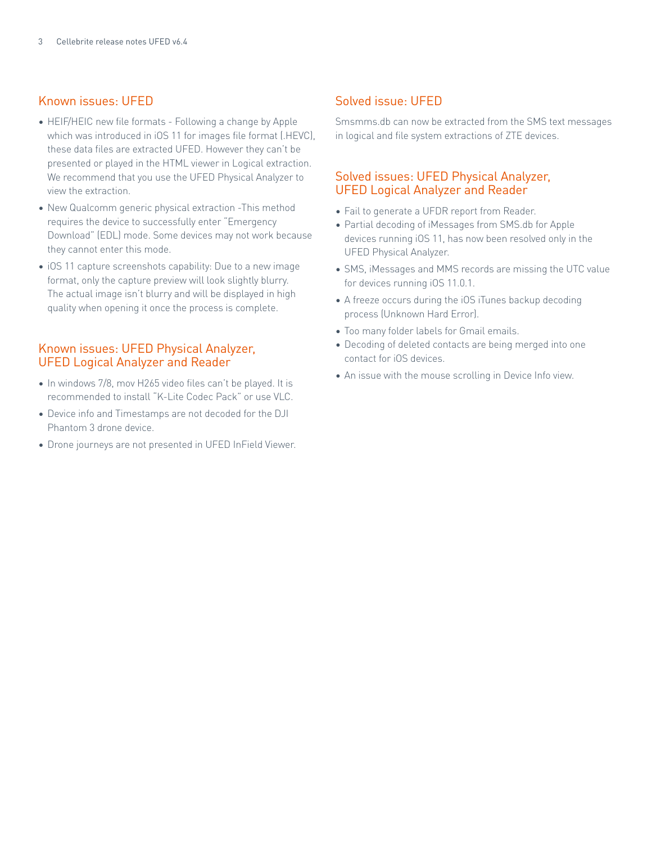## Known issues: UFED

- HEIF/HEIC new file formats Following a change by Apple which was introduced in iOS 11 for images file format (.HEVC), these data files are extracted UFED. However they can't be presented or played in the HTML viewer in Logical extraction. We recommend that you use the UFED Physical Analyzer to view the extraction.
- New Qualcomm generic physical extraction -This method requires the device to successfully enter "Emergency Download" (EDL) mode. Some devices may not work because they cannot enter this mode.
- iOS 11 capture screenshots capability: Due to a new image format, only the capture preview will look slightly blurry. The actual image isn't blurry and will be displayed in high quality when opening it once the process is complete.

## Known issues: UFED Physical Analyzer, UFED Logical Analyzer and Reader

- In windows 7/8, mov H265 video files can't be played. It is recommended to install "K-Lite Codec Pack" or use VLC.
- Device info and Timestamps are not decoded for the DJI Phantom 3 drone device.
- Drone journeys are not presented in UFED InField Viewer.

## Solved issue: UFED

Smsmms.db can now be extracted from the SMS text messages in logical and file system extractions of ZTE devices.

# Solved issues: UFED Physical Analyzer, UFED Logical Analyzer and Reader

- Fail to generate a UFDR report from Reader.
- Partial decoding of iMessages from SMS.db for Apple devices running iOS 11, has now been resolved only in the UFED Physical Analyzer.
- SMS, iMessages and MMS records are missing the UTC value for devices running iOS 11.0.1.
- A freeze occurs during the iOS iTunes backup decoding process (Unknown Hard Error).
- Too many folder labels for Gmail emails.
- Decoding of deleted contacts are being merged into one contact for iOS devices.
- An issue with the mouse scrolling in Device Info view.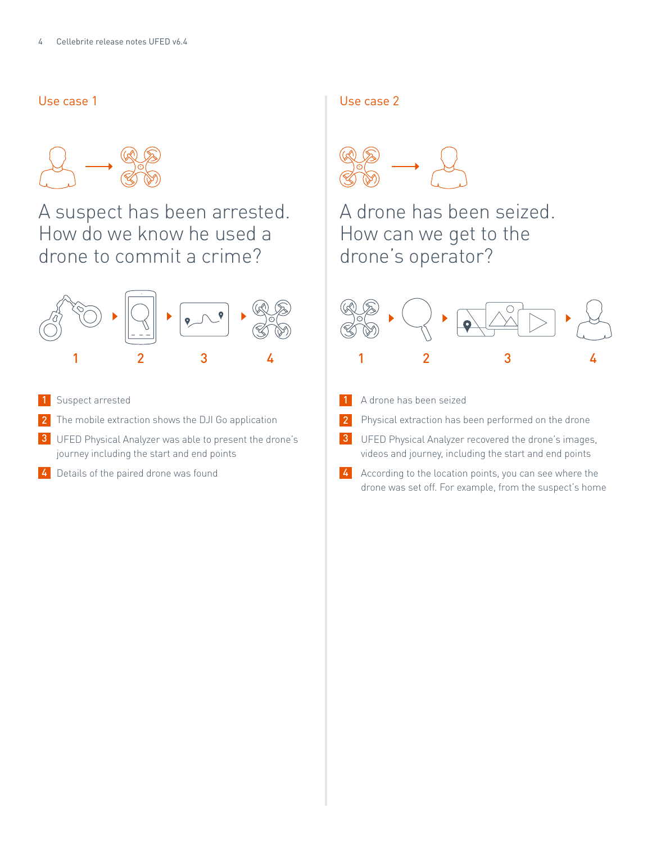# Use case 1



# A suspect has been arrested. How do we know he used a drone to commit a crime?



- 1 Suspect arrested and the set of the set of the set of the set of the set of the set of the set of the set of the set of the set of the set of the set of the set of the set of the set of the set of the set of the set of t
- 2 The mobile extraction shows the DJI Go application **2** 2
- 3 UFED Physical Analyzer was able to present the drone's **3** journey including the start and end points
- **4** Details of the paired drone was found **19 Communist Communist Communist Communist Communist Communist Communist Communist Communist Communist Communist Communist Communist Communist Communist Communist Communist Commun**

#### Use case 2



A drone has been seized. How can we get to the drone's operator?



- A drone has been seized
- Physical extraction has been performed on the drone

UFED Physical Analyzer recovered the drone's images, videos and journey, including the start and end points

According to the location points, you can see where the drone was set off. For example, from the suspect's home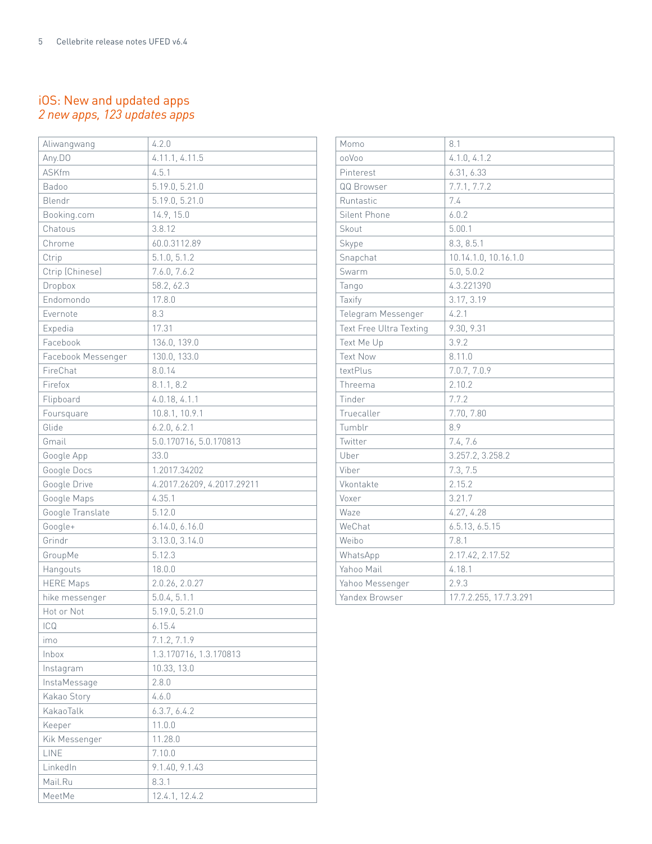# iOS: New and updated apps *2 new apps, 123 updates apps*

| Aliwangwang        | 4.2.0                      |
|--------------------|----------------------------|
| Any.DO             | 4.11.1, 4.11.5             |
| <b>ASKfm</b>       | 4.5.1                      |
| Badoo              | 5.19.0, 5.21.0             |
| Blendr             | 5.19.0, 5.21.0             |
| Booking.com        | 14.9, 15.0                 |
| Chatous            | 3.8.12                     |
| Chrome             | 60.0.3112.89               |
| Ctrip              | 5.1.0, 5.1.2               |
| Ctrip (Chinese)    | 7.6.0, 7.6.2               |
| Dropbox            | 58.2, 62.3                 |
| Endomondo          | 17.8.0                     |
| Evernote           | 8.3                        |
| Expedia            | 17.31                      |
| Facebook           | 136.0, 139.0               |
| Facebook Messenger | 130.0, 133.0               |
| FireChat           | 8.0.14                     |
| Firefox            | 8.1.1, 8.2                 |
| Flipboard          | 4.0.18, 4.1.1              |
| Foursquare         | 10.8.1, 10.9.1             |
| Glide              | 6.2.0, 6.2.1               |
| Gmail              | 5.0.170716, 5.0.170813     |
| Google App         | 33.0                       |
| Google Docs        | 1.2017.34202               |
| Google Drive       | 4.2017.26209, 4.2017.29211 |
| Google Maps        | 4.35.1                     |
| Google Translate   | 5.12.0                     |
| Google+            | 6.14.0, 6.16.0             |
| Grindr             | 3.13.0, 3.14.0             |
| GroupMe            | 5.12.3                     |
| Hangouts           | 18.0.0                     |
| <b>HERE Maps</b>   | 2.0.26, 2.0.27             |
| hike messenger     | 5.0.4, 5.1.1               |
| Hot or Not         | 5.19.0, 5.21.0             |
| ICQ                | 6.15.4                     |
| imo                | 7.1.2, 7.1.9               |
| Inbox              | 1.3.170716, 1.3.170813     |
| Instagram          | 10.33, 13.0                |
| InstaMessage       | 2.8.0                      |
| Kakao Story        | 4.6.0                      |
| KakaoTalk          | 6.3.7, 6.4.2               |
| Keeper             | 11.0.0                     |
| Kik Messenger      | 11.28.0                    |
| LINE               | 7.10.0                     |
| LinkedIn           | 9.1.40, 9.1.43             |
| Mail.Ru            | 8.3.1                      |
| MeetMe             | 12.4.1, 12.4.2             |

| Momo                           | 8.1                    |
|--------------------------------|------------------------|
| ooVoo                          | 4.1.0, 4.1.2           |
| Pinterest                      | 6.31, 6.33             |
| QQ Browser                     | 7.7.1, 7.7.2           |
| Runtastic                      | 7.4                    |
| Silent Phone                   | 6.0.2                  |
| Skout                          | 5.00.1                 |
| Skype                          | 8.3, 8.5.1             |
| Snapchat                       | 10.14.1.0, 10.16.1.0   |
| Swarm                          | 5.0, 5.0.2             |
| Tango                          | 4.3.221390             |
| Taxify                         | 3.17, 3.19             |
| Telegram Messenger             | 4.2.1                  |
| <b>Text Free Ultra Texting</b> | 9.30, 9.31             |
| Text Me Up                     | 3.9.2                  |
| <b>Text Now</b>                | 8.11.0                 |
| textPlus                       | 7.0.7, 7.0.9           |
| Threema                        | 2.10.2                 |
| Tinder                         | 7.7.2                  |
| Truecaller                     | 7.70, 7.80             |
| Tumblr                         | 8.9                    |
| Twitter                        | 7.4, 7.6               |
| Uber                           | 3.257.2, 3.258.2       |
| Viber                          | 7.3, 7.5               |
| Vkontakte                      | 2.15.2                 |
| Voxer                          | 3.21.7                 |
| Waze                           | 4.27, 4.28             |
| WeChat                         | 6.5.13, 6.5.15         |
| Weibo                          | 7.8.1                  |
| WhatsApp                       | 2.17.42, 2.17.52       |
| Yahoo Mail                     | 4.18.1                 |
| Yahoo Messenger                | 2.9.3                  |
| Yandex Browser                 | 17.7.2.255, 17.7.3.291 |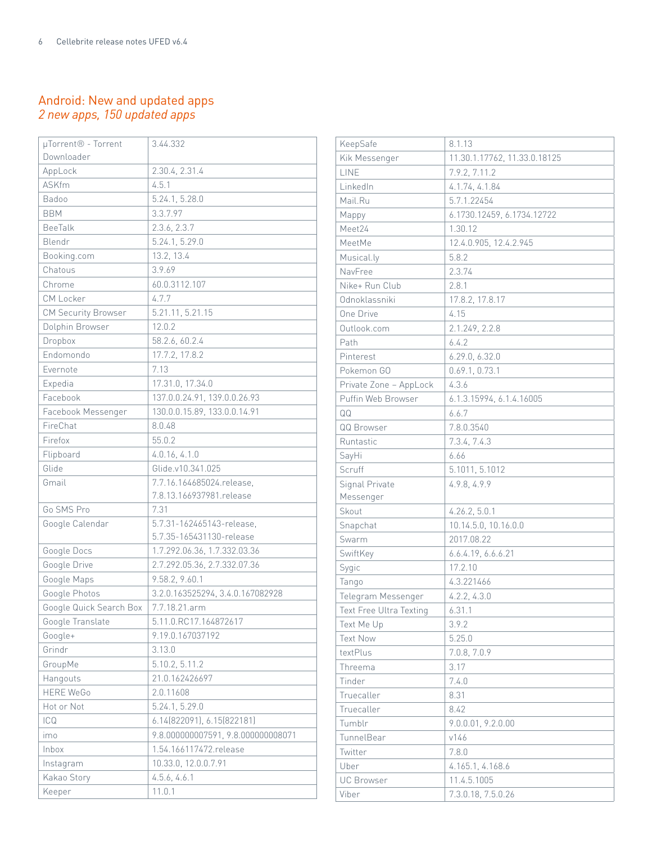# Android: New and updated apps *2 new apps, 150 updated apps*

| µTorrent <sup>®</sup> - Torrent | 3.44.332                           |
|---------------------------------|------------------------------------|
| Downloader                      |                                    |
| AppLock                         | 2.30.4, 2.31.4                     |
| <b>ASKfm</b>                    | 4.5.1                              |
| Badoo                           | 5.24.1, 5.28.0                     |
| <b>BBM</b>                      | 3.3.7.97                           |
| <b>BeeTalk</b>                  | 2.3.6, 2.3.7                       |
| Blendr                          | 5.24.1, 5.29.0                     |
| Booking.com                     | 13.2, 13.4                         |
| Chatous                         | 3.9.69                             |
| Chrome                          | 60.0.3112.107                      |
| CM Locker                       | 4.7.7                              |
| CM Security Browser             | 5.21.11, 5.21.15                   |
| Dolphin Browser                 | 12.0.2                             |
| Dropbox                         | 58.2.6, 60.2.4                     |
| Endomondo                       | 17.7.2, 17.8.2                     |
| Evernote                        | 7.13                               |
| Expedia                         | 17.31.0, 17.34.0                   |
| Facebook                        | 137.0.0.24.91, 139.0.0.26.93       |
| Facebook Messenger              | 130.0.0.15.89, 133.0.0.14.91       |
| FireChat                        | 8.0.48                             |
| Firefox                         | 55.0.2                             |
| Flipboard                       | 4.0.16, 4.1.0                      |
| Glide                           | Glide.v10.341.025                  |
| Gmail                           | 7.7.16.164685024.release,          |
|                                 | 7.8.13.166937981.release           |
| Go SMS Pro                      | 7.31                               |
| Google Calendar                 | 5.7.31-162465143-release.          |
|                                 | 5.7.35-165431130-release           |
| Google Docs                     | 1.7.292.06.36, 1.7.332.03.36       |
| Google Drive                    | 2.7.292.05.36, 2.7.332.07.36       |
| Google Maps                     | 9.58.2, 9.60.1                     |
| Google Photos                   | 3.2.0.163525294, 3.4.0.167082928   |
| Google Quick Search Box         | 7.7.18.21.arm                      |
| Google Translate                | 5.11.0.RC17.164872617              |
| Google+                         | 9.19.0.167037192                   |
| Grindr                          | 3.13.0                             |
| GroupMe                         | 5.10.2, 5.11.2                     |
| Hangouts                        | 21.0.162426697                     |
| <b>HERE WeGo</b>                | 2.0.11608                          |
| Hot or Not                      | 5.24.1, 5.29.0                     |
| ICQ                             | 6.14(822091), 6.15(822181)         |
| imo                             | 9.8.000000007591, 9.8.000000008071 |
| Inbox                           | 1.54.166117472.release             |
| Instagram                       | 10.33.0, 12.0.0.7.91               |
| Kakao Story                     | 4.5.6, 4.6.1                       |
| Keeper                          | 11.0.1                             |

| KeepSafe                       | 8.1.13                       |
|--------------------------------|------------------------------|
| Kik Messenger                  | 11.30.1.17762, 11.33.0.18125 |
| LINE                           | 7.9.2, 7.11.2                |
| LinkedIn                       | 4.1.74, 4.1.84               |
| Mail.Ru                        | 5.7.1.22454                  |
| Mappy                          | 6.1730.12459, 6.1734.12722   |
| Meet24                         | 1.30.12                      |
| MeetMe                         | 12.4.0.905, 12.4.2.945       |
| Musical.ly                     | 5.8.2                        |
| NavFree                        | 2.3.74                       |
| Nike+ Run Club                 | 2.8.1                        |
| Odnoklassniki                  | 17.8.2, 17.8.17              |
| One Drive                      | 4.15                         |
| Outlook.com                    | 2.1.249, 2.2.8               |
| Path                           | 6.4.2                        |
| Pinterest                      | 6.29.0, 6.32.0               |
| Pokemon GO                     | 0.69.1, 0.73.1               |
| Private Zone - AppLock         | 4.3.6                        |
| Puffin Web Browser             | 6.1.3.15994, 6.1.4.16005     |
| QQ                             | 6.6.7                        |
| QQ Browser                     | 7.8.0.3540                   |
| Runtastic                      | 7.3.4, 7.4.3                 |
| SayHi                          | 6.66                         |
| Scruff                         | 5.1011, 5.1012               |
| Signal Private                 | 4.9.8, 4.9.9                 |
| Messenger                      |                              |
| Skout                          | 4.26.2, 5.0.1                |
| Snapchat                       | 10.14.5.0, 10.16.0.0         |
| Swarm                          | 2017.08.22                   |
| SwiftKey                       | 6.6.4.19, 6.6.6.21           |
| Sygic                          | 17.2.10                      |
| Tango                          | 4.3.221466                   |
| Telegram Messenger             | 4.2.2, 4.3.0                 |
| <b>Text Free Ultra Texting</b> | 6.31.1                       |
| Text Me Up                     | 3.9.2                        |
| <b>Text Now</b>                | 5.25.0                       |
| textPlus                       | 7.0.8, 7.0.9                 |
| Threema                        | 3.17                         |
| Tinder                         | 7.4.0                        |
| Truecaller                     | 8.31                         |
| Truecaller                     | 8.42                         |
| Tumblr                         | 9.0.0.01, 9.2.0.00           |
| TunnelBear                     | v146                         |
| Twitter                        | 7.8.0                        |
| Uber                           | 4.165.1, 4.168.6             |
| <b>UC Browser</b>              | 11.4.5.1005                  |
| Viber                          | 7.3.0.18, 7.5.0.26           |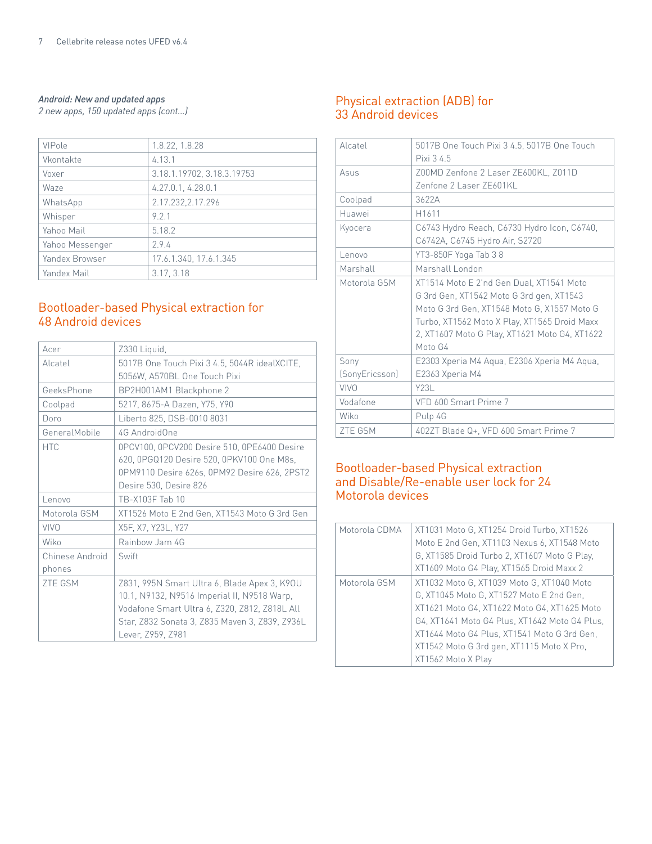#### *Android: New and updated apps*

| VIPole          | 1.8.22, 1.8.28             |
|-----------------|----------------------------|
| Vkontakte       | 4.13.1                     |
| Voxer           | 3.18.1.19702, 3.18.3.19753 |
| Waze            | 4.27.0.1, 4.28.0.1         |
| WhatsApp        | 2.17.232, 2.17.296         |
| Whisper         | 9 2 1                      |
| Yahoo Mail      | 5.18.2                     |
| Yahoo Messenger | 2.9.4                      |
| Yandex Browser  | 17.6.1.340, 17.6.1.345     |
| Yandex Mail     | 3.17, 3.18                 |

# Bootloader-based Physical extraction for 48 Android devices

| Acer            | Z330 Liquid,                                   |
|-----------------|------------------------------------------------|
| Alcatel         | 5017B One Touch Pixi 3 4.5, 5044R idealXCITE,  |
|                 | 5056W, A570BL One Touch Pixi                   |
| GeeksPhone      | BP2H001AM1 Blackphone 2                        |
| Coolpad         | 5217, 8675-A Dazen, Y75, Y90                   |
| Doro            | Liberto 825, DSB-0010 8031                     |
| GeneralMobile   | 4G AndroidOne                                  |
| <b>HTC</b>      | 0PCV100, 0PCV200 Desire 510, 0PE6400 Desire    |
|                 | 620, 0PGQ120 Desire 520, 0PKV100 One M8s,      |
|                 | 0PM9110 Desire 626s, 0PM92 Desire 626, 2PST2   |
|                 | Desire 530, Desire 826                         |
| Lenovo          | TB-X103F Tab 10                                |
| Motorola GSM    | XT1526 Moto E 2nd Gen, XT1543 Moto G 3rd Gen   |
| <b>VIVO</b>     | X5F, X7, Y23L, Y27                             |
| Wiko            | Rainbow Jam 4G                                 |
| Chinese Android | Swift                                          |
| phones          |                                                |
| <b>ZTE GSM</b>  | Z831, 995N Smart Ultra 6, Blade Apex 3, K90U   |
|                 | 10.1, N9132, N9516 Imperial II, N9518 Warp,    |
|                 | Vodafone Smart Ultra 6, Z320, Z812, Z818L All  |
|                 | Star, Z832 Sonata 3, Z835 Maven 3, Z839, Z936L |
|                 | Lever, Z959, Z981                              |
|                 |                                                |

# *2 new apps, 150 updated apps (cont...)* Physical extraction (ADB) for 33 Android devices

| Alcatel        | 5017B One Touch Pixi 3 4.5, 5017B One Touch<br>Pixi 3 4.5                                                                                                                                                                                       |
|----------------|-------------------------------------------------------------------------------------------------------------------------------------------------------------------------------------------------------------------------------------------------|
| Asus           | Z00MD Zenfone 2 Laser ZE600KL, Z011D<br>Zenfone 2 Laser ZE601KL                                                                                                                                                                                 |
| Coolpad        | 3622A                                                                                                                                                                                                                                           |
| Huawei         | H1611                                                                                                                                                                                                                                           |
| Kyocera        | C6743 Hydro Reach, C6730 Hydro Icon, C6740,<br>C6742A, C6745 Hydro Air, S2720                                                                                                                                                                   |
| Lenovo         | YT3-850F Yoga Tab 38                                                                                                                                                                                                                            |
| Marshall       | Marshall London                                                                                                                                                                                                                                 |
| Motorola GSM   | XT1514 Moto E 2'nd Gen Dual, XT1541 Moto<br>G 3rd Gen, XT1542 Moto G 3rd gen, XT1543<br>Moto G 3rd Gen, XT1548 Moto G, X1557 Moto G<br>Turbo, XT1562 Moto X Play, XT1565 Droid Maxx<br>2, XT1607 Moto G Play, XT1621 Moto G4, XT1622<br>Moto G4 |
| Sony           | E2303 Xperia M4 Aqua, E2306 Xperia M4 Aqua,                                                                                                                                                                                                     |
| (SonyEricsson) | E2363 Xperia M4                                                                                                                                                                                                                                 |
| VIVO           | Y231                                                                                                                                                                                                                                            |
| Vodafone       | VFD 600 Smart Prime 7                                                                                                                                                                                                                           |
| Wiko           | Pulp 4G                                                                                                                                                                                                                                         |
| <b>ZTE GSM</b> | 402ZT Blade Q+, VFD 600 Smart Prime 7                                                                                                                                                                                                           |

# Bootloader-based Physical extraction and Disable/Re-enable user lock for 24 Motorola devices

| Motorola CDMA | XT1031 Moto G, XT1254 Droid Turbo, XT1526     |
|---------------|-----------------------------------------------|
|               | Moto E 2nd Gen, XT1103 Nexus 6, XT1548 Moto   |
|               | G, XT1585 Droid Turbo 2, XT1607 Moto G Play,  |
|               | XT1609 Moto G4 Play, XT1565 Droid Maxx 2      |
| Motorola GSM  | XT1032 Moto G, XT1039 Moto G, XT1040 Moto     |
|               | G, XT1045 Moto G, XT1527 Moto E 2nd Gen,      |
|               | XT1621 Moto G4, XT1622 Moto G4, XT1625 Moto   |
|               | G4, XT1641 Moto G4 Plus, XT1642 Moto G4 Plus, |
|               | XT1644 Moto G4 Plus, XT1541 Moto G 3rd Gen.   |
|               | XT1542 Moto G 3rd gen, XT1115 Moto X Pro,     |
|               | XT1562 Moto X Play                            |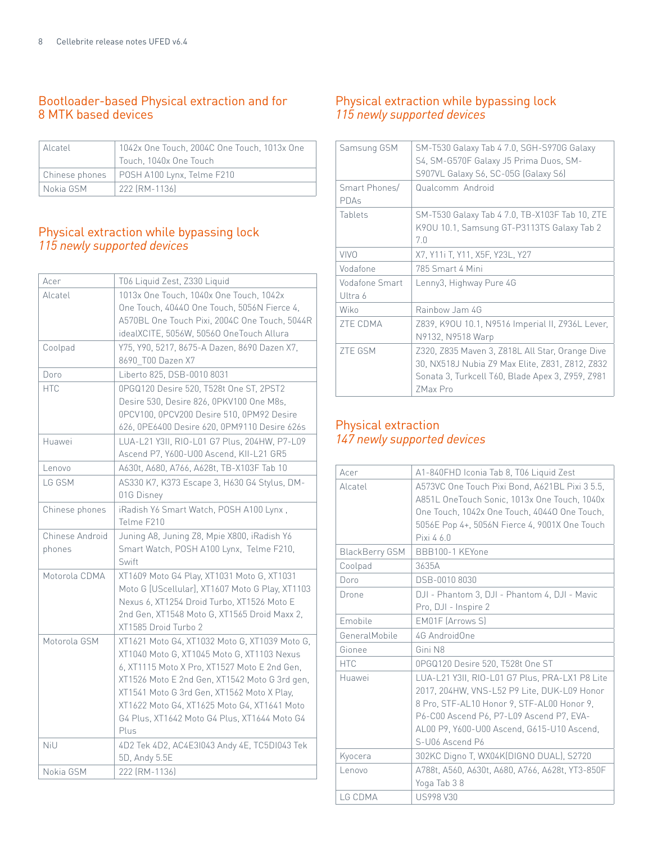# Bootloader-based Physical extraction and for 8 MTK based devices

| Alcatel     | 1042x One Touch. 2004C One Touch. 1013x One |
|-------------|---------------------------------------------|
|             | Touch, 1040x One Touch                      |
|             | Chinese phones   POSH A100 Lynx, Telme F210 |
| l Nokia GSM | 222 [RM-1136]                               |

# Physical extraction while bypassing lock *115 newly supported devices*

| Acer            | T06 Liquid Zest, Z330 Liquid                    |
|-----------------|-------------------------------------------------|
| Alcatel         | 1013x One Touch, 1040x One Touch, 1042x         |
|                 | One Touch, 40440 One Touch, 5056N Fierce 4,     |
|                 | A570BL One Touch Pixi, 2004C One Touch, 5044R   |
|                 | idealXCITE, 5056W, 50560 OneTouch Allura        |
| Coolpad         | Y75, Y90, 5217, 8675-A Dazen, 8690 Dazen X7,    |
|                 | 8690_T00 Dazen X7                               |
| Doro            | Liberto 825, DSB-0010 8031                      |
| <b>HTC</b>      | 0PGQ120 Desire 520, T528t One ST, 2PST2         |
|                 | Desire 530, Desire 826, 0PKV100 One M8s,        |
|                 | 0PCV100, 0PCV200 Desire 510, 0PM92 Desire       |
|                 | 626, 0PE6400 Desire 620, 0PM9110 Desire 626s    |
| Huawei          | LUA-L21 Y3II, RIO-L01 G7 Plus, 204HW, P7-L09    |
|                 | Ascend P7, Y600-U00 Ascend, KII-L21 GR5         |
| Lenovo          | A630t, A680, A766, A628t, TB-X103F Tab 10       |
| LG GSM          | AS330 K7, K373 Escape 3, H630 G4 Stylus, DM-    |
|                 | 01G Disney                                      |
| Chinese phones  | iRadish Y6 Smart Watch, POSH A100 Lynx,         |
|                 | Telme F210                                      |
| Chinese Android | Juning A8, Juning Z8, Mpie X800, iRadish Y6     |
| phones          | Smart Watch, POSH A100 Lynx, Telme F210,        |
|                 | Swift                                           |
| Motorola CDMA   | XT1609 Moto G4 Play, XT1031 Moto G, XT1031      |
|                 | Moto G [UScellular], XT1607 Moto G Play, XT1103 |
|                 | Nexus 6, XT1254 Droid Turbo, XT1526 Moto E      |
|                 | 2nd Gen, XT1548 Moto G, XT1565 Droid Maxx 2,    |
|                 | XT1585 Droid Turbo 2                            |
| Motorola GSM    | XT1621 Moto G4, XT1032 Moto G, XT1039 Moto G,   |
|                 | XT1040 Moto G, XT1045 Moto G, XT1103 Nexus      |
|                 | 6, XT1115 Moto X Pro, XT1527 Moto E 2nd Gen,    |
|                 | XT1526 Moto E 2nd Gen, XT1542 Moto G 3rd gen,   |
|                 | XT1541 Moto G 3rd Gen, XT1562 Moto X Play,      |
|                 | XT1622 Moto G4, XT1625 Moto G4, XT1641 Moto     |
|                 | G4 Plus, XT1642 Moto G4 Plus, XT1644 Moto G4    |
|                 | Plus                                            |
| NiU             | 4D2 Tek 4D2, AC4E3I043 Andy 4E, TC5DI043 Tek    |
|                 | 5D, Andy 5.5E                                   |
| Nokia GSM       | 222 [RM-1136]                                   |

# Physical extraction while bypassing lock *115 newly supported devices*

| Samsung GSM               | SM-T530 Galaxy Tab 4 7.0, SGH-S970G Galaxy<br>S4, SM-G570F Galaxy J5 Prima Duos, SM-<br>S907VL Galaxy S6, SC-05G (Galaxy S6)                                       |
|---------------------------|--------------------------------------------------------------------------------------------------------------------------------------------------------------------|
| Smart Phones/<br>PDAs     | Qualcomm Android                                                                                                                                                   |
| Tablets                   | SM-T530 Galaxy Tab 4 7.0, TB-X103F Tab 10, ZTE<br>K90U 10.1, Samsung GT-P3113TS Galaxy Tab 2<br>7.0                                                                |
| <b>VIVO</b>               | X7, Y11i T, Y11, X5F, Y23L, Y27                                                                                                                                    |
| Vodafone                  | 785 Smart 4 Mini                                                                                                                                                   |
| Vodafone Smart<br>Ultra 6 | Lenny3, Highway Pure 4G                                                                                                                                            |
| Wiko                      | Rainbow Jam 4G                                                                                                                                                     |
| <b>ZTE CDMA</b>           | Z839, K90U 10.1, N9516 Imperial II, Z936L Lever,<br>N9132, N9518 Warp                                                                                              |
| <b>ZTE GSM</b>            | Z320, Z835 Maven 3, Z818L All Star, Orange Dive<br>30, NX518J Nubia Z9 Max Elite, Z831, Z812, Z832<br>Sonata 3, Turkcell T60, Blade Apex 3, Z959, Z981<br>ZMax Pro |

# Physical extraction *147 newly supported devices*

| Acer                  | A1-840FHD Iconia Tab 8, T06 Liquid Zest                                                                                                                                                                                                                  |  |
|-----------------------|----------------------------------------------------------------------------------------------------------------------------------------------------------------------------------------------------------------------------------------------------------|--|
| Alcatel               | A573VC One Touch Pixi Bond, A621BL Pixi 3 5.5,<br>A851L OneTouch Sonic, 1013x One Touch, 1040x                                                                                                                                                           |  |
|                       | One Touch, 1042x One Touch, 40440 One Touch,                                                                                                                                                                                                             |  |
|                       | 5056E Pop 4+, 5056N Fierce 4, 9001X One Touch                                                                                                                                                                                                            |  |
|                       | Pixi 4 6.0                                                                                                                                                                                                                                               |  |
|                       |                                                                                                                                                                                                                                                          |  |
| <b>BlackBerry GSM</b> | BBB100-1 KEYone                                                                                                                                                                                                                                          |  |
| Coolpad               | 3635A                                                                                                                                                                                                                                                    |  |
| Doro                  | DSB-0010 8030                                                                                                                                                                                                                                            |  |
| Drone                 | DJI - Phantom 3, DJI - Phantom 4, DJI - Mavic                                                                                                                                                                                                            |  |
|                       | Pro, DJI - Inspire 2                                                                                                                                                                                                                                     |  |
| Emobile               | EM01F (Arrows S)                                                                                                                                                                                                                                         |  |
| GeneralMobile         | 4G AndroidOne                                                                                                                                                                                                                                            |  |
| Gionee                | Gini N8                                                                                                                                                                                                                                                  |  |
| <b>HTC</b>            | 0PGQ120 Desire 520, T528t One ST                                                                                                                                                                                                                         |  |
| Huawei                | LUA-L21 Y3II, RIO-L01 G7 Plus, PRA-LX1 P8 Lite<br>2017, 204HW, VNS-L52 P9 Lite, DUK-L09 Honor<br>8 Pro, STF-AL10 Honor 9, STF-AL00 Honor 9,<br>P6-C00 Ascend P6, P7-L09 Ascend P7, EVA-<br>AL00 P9, Y600-U00 Ascend, G615-U10 Ascend,<br>S-U06 Ascend P6 |  |
| Kyocera               | 302KC Digno T, WX04K(DIGNO DUAL), S2720                                                                                                                                                                                                                  |  |
| Lenovo                | A788t, A560, A630t, A680, A766, A628t, YT3-850F                                                                                                                                                                                                          |  |
|                       | Yoga Tab 38                                                                                                                                                                                                                                              |  |
| LG CDMA               | <b>US998 V30</b>                                                                                                                                                                                                                                         |  |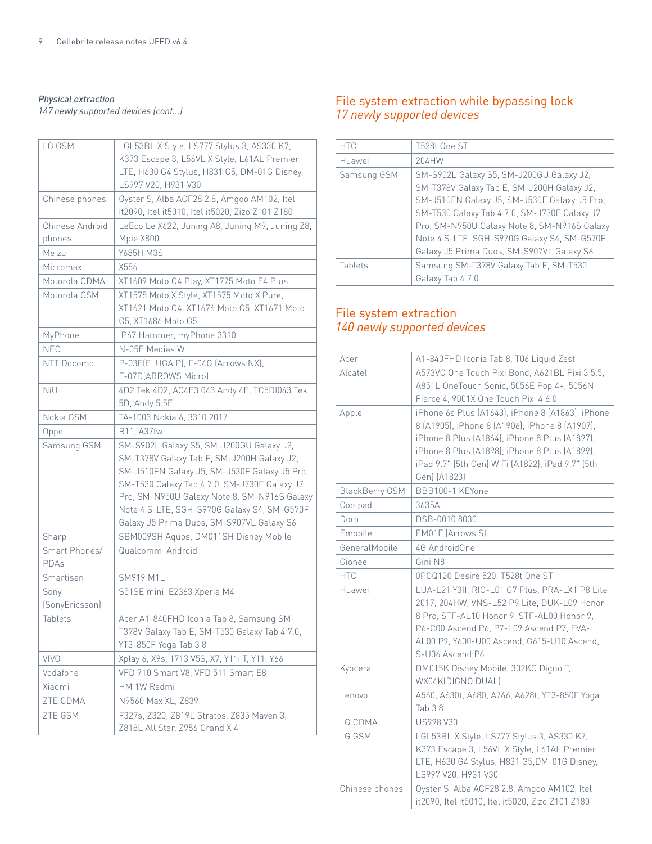*Physical extraction*

| LG GSM                    | LGL53BL X Style, LS777 Stylus 3, AS330 K7,<br>K373 Escape 3, L56VL X Style, L61AL Premier<br>LTE, H630 G4 Stylus, H831 G5, DM-01G Disney,<br>LS997 V20, H931 V30                                                                                                                                                                   |  |
|---------------------------|------------------------------------------------------------------------------------------------------------------------------------------------------------------------------------------------------------------------------------------------------------------------------------------------------------------------------------|--|
| Chinese phones            | Oyster S, Alba ACF28 2.8, Amgoo AM102, Itel<br>it2090, Itel it5010, Itel it5020, Zizo Z101 Z180                                                                                                                                                                                                                                    |  |
| Chinese Android<br>phones | LeEco Le X622, Juning A8, Juning M9, Juning Z8,<br>Mpie X800                                                                                                                                                                                                                                                                       |  |
| Meizu                     | Y685H M3S                                                                                                                                                                                                                                                                                                                          |  |
| Micromax                  | X556                                                                                                                                                                                                                                                                                                                               |  |
| Motorola CDMA             | XT1609 Moto G4 Play, XT1775 Moto E4 Plus                                                                                                                                                                                                                                                                                           |  |
| Motorola GSM              | XT1575 Moto X Style, XT1575 Moto X Pure,<br>XT1621 Moto G4, XT1676 Moto G5, XT1671 Moto<br>G5, XT1686 Moto G5                                                                                                                                                                                                                      |  |
| MyPhone                   | IP67 Hammer, myPhone 3310                                                                                                                                                                                                                                                                                                          |  |
| <b>NEC</b>                | N-05E Medias W                                                                                                                                                                                                                                                                                                                     |  |
| NTT Docomo                | P-03E(ELUGA P), F-04G (Arrows NX),<br>F-07D(ARROWS Micro)                                                                                                                                                                                                                                                                          |  |
| NiU                       | 4D2 Tek 4D2, AC4E31043 Andy 4E, TC5D1043 Tek<br>5D, Andy 5.5E                                                                                                                                                                                                                                                                      |  |
| Nokia GSM                 | TA-1003 Nokia 6, 3310 2017                                                                                                                                                                                                                                                                                                         |  |
| Oppo                      | R11, A37fw                                                                                                                                                                                                                                                                                                                         |  |
| Samsung GSM               | SM-S902L Galaxy S5, SM-J200GU Galaxy J2,<br>SM-T378V Galaxy Tab E, SM-J200H Galaxy J2,<br>SM-J510FN Galaxy J5, SM-J530F Galaxy J5 Pro,<br>SM-T530 Galaxy Tab 4 7.0, SM-J730F Galaxy J7<br>Pro, SM-N950U Galaxy Note 8, SM-N916S Galaxy<br>Note 4 S-LTE, SGH-S970G Galaxy S4, SM-G570F<br>Galaxy J5 Prima Duos, SM-S907VL Galaxy S6 |  |
| Sharp                     | SBM009SH Aquos, DM011SH Disney Mobile                                                                                                                                                                                                                                                                                              |  |
| Smart Phones/<br>PDAs     | Qualcomm Android                                                                                                                                                                                                                                                                                                                   |  |
| Smartisan                 | <b>SM919 M1L</b>                                                                                                                                                                                                                                                                                                                   |  |
| Sony<br>(SonyEricsson)    | S51SE mini, E2363 Xperia M4                                                                                                                                                                                                                                                                                                        |  |
| Tablets                   | Acer A1-840FHD Iconia Tab 8, Samsung SM-<br>T378V Galaxy Tab E, SM-T530 Galaxy Tab 4 7.0,<br>YT3-850F Yoga Tab 3 8                                                                                                                                                                                                                 |  |
| <b>VIVO</b>               | Xplay 6, X9s, 1713 V5S, X7, Y11i T, Y11, Y66                                                                                                                                                                                                                                                                                       |  |
| Vodafone                  | VFD 710 Smart V8, VFD 511 Smart E8                                                                                                                                                                                                                                                                                                 |  |
| Xiaomi                    | HM 1W Redmi                                                                                                                                                                                                                                                                                                                        |  |
| ZTE CDMA                  | N9560 Max XL, Z839                                                                                                                                                                                                                                                                                                                 |  |
| ZTE GSM                   | F327s, Z320, Z819L Stratos, Z835 Maven 3,<br>Z818L All Star, Z956 Grand X 4                                                                                                                                                                                                                                                        |  |

# File system extraction while bypassing lock *17 newly supported devices*

| <b>HTC</b>  | T528t One ST                                 |
|-------------|----------------------------------------------|
| Huawei      | 204HW                                        |
| Samsung GSM | SM-S902L Galaxy S5, SM-J200GU Galaxy J2,     |
|             | SM-T378V Galaxy Tab E, SM-J200H Galaxy J2,   |
|             | SM-J510FN Galaxy J5, SM-J530F Galaxy J5 Pro, |
|             | SM-T530 Galaxy Tab 4 7.0, SM-J730F Galaxy J7 |
|             | Pro, SM-N950U Galaxy Note 8, SM-N916S Galaxy |
|             | Note 4 S-LTE, SGH-S970G Galaxy S4, SM-G570F  |
|             | Galaxy J5 Prima Duos, SM-S907VL Galaxy S6    |
| Tablets     | Samsung SM-T378V Galaxy Tab E, SM-T530       |
|             | Galaxy Tab 4 7.0                             |

# File system extraction *140 newly supported devices*

| Acer                  | A1-840FHD Iconia Tab 8, T06 Liquid Zest          |  |
|-----------------------|--------------------------------------------------|--|
| Alcatel               | A573VC One Touch Pixi Bond, A621BL Pixi 3 5.5,   |  |
|                       | A851L OneTouch Sonic, 5056E Pop 4+, 5056N        |  |
|                       | Fierce 4, 9001X One Touch Pixi 4 6.0             |  |
| Apple                 | iPhone 6s Plus (A1643), iPhone 8 (A1863), iPhone |  |
|                       | 8 (A1905), iPhone 8 (A1906), iPhone 8 (A1907),   |  |
|                       | iPhone 8 Plus (A1864), iPhone 8 Plus (A1897).    |  |
|                       | iPhone 8 Plus (A1898), iPhone 8 Plus (A1899),    |  |
|                       | iPad 9.7" (5th Gen) WiFi (A1822), iPad 9.7" (5th |  |
|                       | Gen) (A1823)                                     |  |
| <b>BlackBerry GSM</b> | BBB100-1 KEYone                                  |  |
| Coolpad               | 3635A                                            |  |
| Doro                  | DSB-0010 8030                                    |  |
| Emobile               | <b>EM01F (Arrows S)</b>                          |  |
| GeneralMobile         | 4G AndroidOne                                    |  |
| Gionee                | Gini N8                                          |  |
| <b>HTC</b>            | 0PGQ120 Desire 520, T528t One ST                 |  |
| Huawei                | LUA-L21 Y3II, RIO-L01 G7 Plus, PRA-LX1 P8 Lite   |  |
|                       | 2017, 204HW, VNS-L52 P9 Lite, DUK-L09 Honor      |  |
|                       | 8 Pro, STF-AL10 Honor 9, STF-AL00 Honor 9,       |  |
|                       | P6-C00 Ascend P6, P7-L09 Ascend P7, EVA-         |  |
|                       | AL00 P9, Y600-U00 Ascend, G615-U10 Ascend,       |  |
|                       | S-U06 Ascend P6                                  |  |
| Kyocera               | DM015K Disney Mobile, 302KC Digno T,             |  |
|                       | WX04K[DIGNO DUAL]                                |  |
| Lenovo                | A560, A630t, A680, A766, A628t, YT3-850F Yoga    |  |
|                       | Tab 38                                           |  |
| LG CDMA               | <b>US998 V30</b>                                 |  |
| LG GSM                | LGL53BL X Style, LS777 Stylus 3, AS330 K7,       |  |
|                       | K373 Escape 3, L56VL X Style, L61AL Premier      |  |
|                       | LTE, H630 G4 Stylus, H831 G5, DM-01G Disney,     |  |
|                       | LS997 V20, H931 V30                              |  |
| Chinese phones        | Oyster S, Alba ACF28 2.8, Amgoo AM102, Itel      |  |
|                       | it2090, Itel it5010, Itel it5020, Zizo Z101 Z180 |  |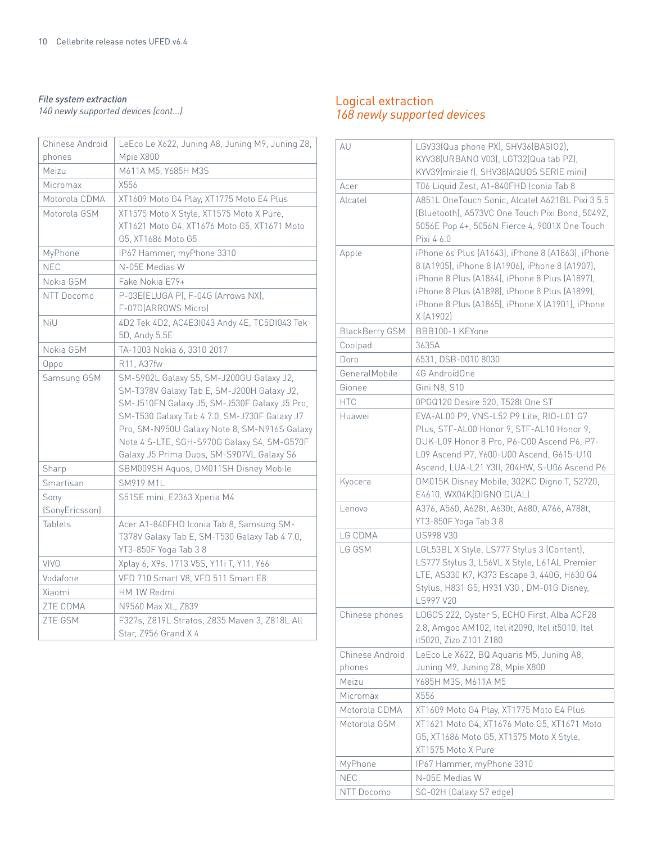#### *File system extraction 140 newly supported devices (cont...)*

| Chinese Android | LeEco Le X622, Juning A8, Juning M9, Juning Z8, |  |
|-----------------|-------------------------------------------------|--|
| phones          | Mpie X800                                       |  |
| Meizu           | M611A M5, Y685H M3S                             |  |
| Micromax        | X556                                            |  |
| Motorola CDMA   | XT1609 Moto G4 Play, XT1775 Moto E4 Plus        |  |
| Motorola GSM    | XT1575 Moto X Style, XT1575 Moto X Pure,        |  |
|                 | XT1621 Moto G4, XT1676 Moto G5, XT1671 Moto     |  |
|                 | G5, XT1686 Moto G5                              |  |
| MyPhone         | IP67 Hammer, myPhone 3310                       |  |
| <b>NEC</b>      | N-05E Medias W                                  |  |
| Nokia GSM       | Fake Nokia E79+                                 |  |
| NTT Docomo      | P-03E(ELUGA P), F-04G (Arrows NX),              |  |
|                 | F-07D(ARROWS Micro)                             |  |
| NiU             | 4D2 Tek 4D2, AC4E3I043 Andy 4E, TC5DI043 Tek    |  |
|                 | 5D, Andy 5.5E                                   |  |
| Nokia GSM       | TA-1003 Nokia 6, 3310 2017                      |  |
| Oppo            | R11, A37fw                                      |  |
| Samsung GSM     | SM-S902L Galaxy S5, SM-J200GU Galaxy J2,        |  |
|                 | SM-T378V Galaxy Tab E, SM-J200H Galaxy J2,      |  |
|                 | SM-J510FN Galaxy J5, SM-J530F Galaxy J5 Pro,    |  |
|                 | SM-T530 Galaxy Tab 4 7.0, SM-J730F Galaxy J7    |  |
|                 | Pro, SM-N950U Galaxy Note 8, SM-N916S Galaxy    |  |
|                 | Note 4 S-LTE, SGH-S970G Galaxy S4, SM-G570F     |  |
|                 | Galaxy J5 Prima Duos, SM-S907VL Galaxy S6       |  |
| Sharp           | SBM009SH Aquos, DM011SH Disney Mobile           |  |
| Smartisan       | <b>SM919 M1L</b>                                |  |
| Sony            | S51SE mini, E2363 Xperia M4                     |  |
| (SonyEricsson)  |                                                 |  |
| Tablets         | Acer A1-840FHD Iconia Tab 8, Samsung SM-        |  |
|                 | T378V Galaxy Tab E, SM-T530 Galaxy Tab 4 7.0,   |  |
|                 | YT3-850F Yoga Tab 38                            |  |
| <b>VIVO</b>     | Xplay 6, X9s, 1713 V5S, Y11i T, Y11, Y66        |  |
| Vodafone        | VFD 710 Smart V8, VFD 511 Smart E8              |  |
| Xiaomi          | HM 1W Redmi                                     |  |
| ZTE CDMA        | N9560 Max XL, Z839                              |  |
| ZTE GSM         | F327s, Z819L Stratos, Z835 Maven 3, Z818L All   |  |
|                 | Star, Z956 Grand X 4                            |  |

# Logical extraction *168 newly supported devices*

| AU                    | LGV33(Qua phone PX), SHV36(BASIO2),<br>KYV38(URBANO V03), LGT32(Qua tab PZ),<br>KYV39(miraie f), SHV38(AQUOS SERIE mini)                                                                                                                                             |  |  |
|-----------------------|----------------------------------------------------------------------------------------------------------------------------------------------------------------------------------------------------------------------------------------------------------------------|--|--|
| Acer                  | T06 Liquid Zest, A1-840FHD Iconia Tab 8                                                                                                                                                                                                                              |  |  |
| Alcatel               | A851L OneTouch Sonic, Alcatel A621BL Pixi 3 5.5<br>(Bluetooth), A573VC One Touch Pixi Bond, 5049Z,<br>5056E Pop 4+, 5056N Fierce 4, 9001X One Touch<br>Pixi 4 6.0                                                                                                    |  |  |
| Apple                 | iPhone 6s Plus (A1643), iPhone 8 (A1863), iPhone<br>8 (A1905), iPhone 8 (A1906), iPhone 8 (A1907),<br>iPhone 8 Plus (A1864), iPhone 8 Plus (A1897),<br>iPhone 8 Plus (A1898), iPhone 8 Plus (A1899),<br>iPhone 8 Plus (A1865), iPhone X (A1901), iPhone<br>X (A1902) |  |  |
| <b>BlackBerry GSM</b> | BBB100-1 KEYone                                                                                                                                                                                                                                                      |  |  |
| Coolpad               | 3635A                                                                                                                                                                                                                                                                |  |  |
| Doro                  | 6531, DSB-0010 8030                                                                                                                                                                                                                                                  |  |  |
| GeneralMobile         | 4G AndroidOne                                                                                                                                                                                                                                                        |  |  |
| Gionee                | Gini N8, S10                                                                                                                                                                                                                                                         |  |  |
| <b>HTC</b>            | 0PGQ120 Desire 520, T528t One ST                                                                                                                                                                                                                                     |  |  |
| Huawei                | EVA-AL00 P9, VNS-L52 P9 Lite, RIO-L01 G7                                                                                                                                                                                                                             |  |  |
|                       | Plus, STF-AL00 Honor 9, STF-AL10 Honor 9,                                                                                                                                                                                                                            |  |  |
|                       | DUK-L09 Honor 8 Pro, P6-C00 Ascend P6, P7-                                                                                                                                                                                                                           |  |  |
|                       | L09 Ascend P7, Y600-U00 Ascend, G615-U10                                                                                                                                                                                                                             |  |  |
|                       | Ascend, LUA-L21 Y3II, 204HW, S-U06 Ascend P6                                                                                                                                                                                                                         |  |  |
| Kyocera               | DM015K Disney Mobile, 302KC Digno T, S2720,<br>E4610, WX04K(DIGNO DUAL)                                                                                                                                                                                              |  |  |
| Lenovo                | A376, A560, A628t, A630t, A680, A766, A788t,<br>YT3-850F Yoga Tab 3 8                                                                                                                                                                                                |  |  |
| LG CDMA               | <b>US998 V30</b>                                                                                                                                                                                                                                                     |  |  |
| LG GSM                | LGL53BL X Style, LS777 Stylus 3 (Content),                                                                                                                                                                                                                           |  |  |
|                       | LS777 Stylus 3, L56VL X Style, L61AL Premier<br>LTE, AS330 K7, K373 Escape 3, 440G, H630 G4<br>Stylus, H831 G5, H931 V30, DM-01G Disney,<br>LS997 V20                                                                                                                |  |  |
| Chinese phones        | LOGOS 222, Oyster S, ECHO First, Alba ACF28<br>2.8, Amgoo AM102, Itel it2090, Itel it5010, Itel<br>it5020, Zizo Z101 Z180                                                                                                                                            |  |  |
| Chinese Android       | LeEco Le X622, BQ Aquaris M5, Juning A8,                                                                                                                                                                                                                             |  |  |
| phones                | Juning M9, Juning Z8, Mpie X800                                                                                                                                                                                                                                      |  |  |
| Meizu                 | Y685H M3S, M611A M5                                                                                                                                                                                                                                                  |  |  |
| Micromax              | X556                                                                                                                                                                                                                                                                 |  |  |
| Motorola CDMA         | XT1609 Moto G4 Play, XT1775 Moto E4 Plus                                                                                                                                                                                                                             |  |  |
| Motorola GSM          | XT1621 Moto G4, XT1676 Moto G5, XT1671 Moto                                                                                                                                                                                                                          |  |  |
|                       | G5, XT1686 Moto G5, XT1575 Moto X Style,                                                                                                                                                                                                                             |  |  |
|                       | XT1575 Moto X Pure                                                                                                                                                                                                                                                   |  |  |
| MyPhone               | IP67 Hammer, myPhone 3310                                                                                                                                                                                                                                            |  |  |
| <b>NEC</b>            | N-05E Medias W                                                                                                                                                                                                                                                       |  |  |
| NTT Docomo            | SC-02H (Galaxy S7 edge)                                                                                                                                                                                                                                              |  |  |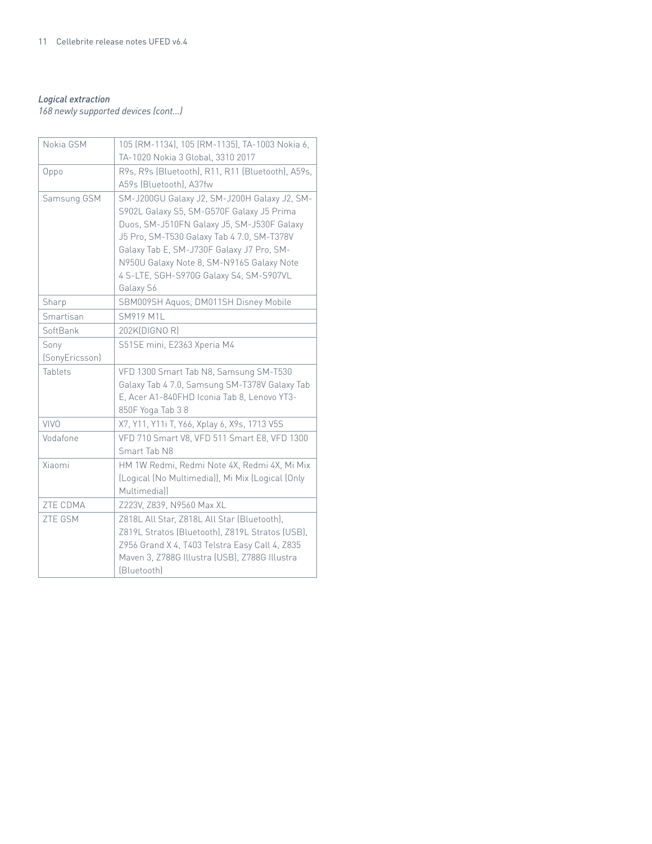#### *Logical extraction*

*168 newly supported devices (cont...)*

| Nokia GSM              | 105 (RM-1134), 105 (RM-1135), TA-1003 Nokia 6,<br>TA-1020 Nokia 3 Global, 3310 2017                                                                                                                                                                                                                                                     |  |
|------------------------|-----------------------------------------------------------------------------------------------------------------------------------------------------------------------------------------------------------------------------------------------------------------------------------------------------------------------------------------|--|
| Oppo                   | R9s, R9s (Bluetooth), R11, R11 (Bluetooth), A59s,<br>A59s (Bluetooth), A37fw                                                                                                                                                                                                                                                            |  |
| Samsung GSM            | SM-J200GU Galaxy J2, SM-J200H Galaxy J2, SM-<br>S902L Galaxy S5, SM-G570F Galaxy J5 Prima<br>Duos, SM-J510FN Galaxy J5, SM-J530F Galaxy<br>J5 Pro, SM-T530 Galaxy Tab 4 7.0, SM-T378V<br>Galaxy Tab E, SM-J730F Galaxy J7 Pro, SM-<br>N950U Galaxy Note 8, SM-N916S Galaxy Note<br>4 S-LTE, SGH-S970G Galaxy S4, SM-S907VL<br>Galaxy S6 |  |
| Sharp                  | SBM009SH Aquos, DM011SH Disney Mobile                                                                                                                                                                                                                                                                                                   |  |
| Smartisan              | <b>SM919 M1L</b>                                                                                                                                                                                                                                                                                                                        |  |
| SoftBank               | 202K(DIGNO R)                                                                                                                                                                                                                                                                                                                           |  |
| Sony<br>(SonyEricsson) | S51SE mini, E2363 Xperia M4                                                                                                                                                                                                                                                                                                             |  |
| Tablets                | VFD 1300 Smart Tab N8, Samsung SM-T530<br>Galaxy Tab 4 7.0, Samsung SM-T378V Galaxy Tab<br>E, Acer A1-840FHD Iconia Tab 8, Lenovo YT3-<br>850F Yoga Tab 38                                                                                                                                                                              |  |
| VIVO                   | X7, Y11, Y11i T, Y66, Xplay 6, X9s, 1713 V5S                                                                                                                                                                                                                                                                                            |  |
| Vodafone               | VFD 710 Smart V8, VFD 511 Smart E8, VFD 1300<br>Smart Tab N8                                                                                                                                                                                                                                                                            |  |
| Xiaomi                 | HM 1W Redmi, Redmi Note 4X, Redmi 4X, Mi Mix<br>(Logical (No Multimedia)), Mi Mix (Logical (Only<br>Multimedia))                                                                                                                                                                                                                        |  |
| ZTE CDMA               | Z223V, Z839, N9560 Max XL                                                                                                                                                                                                                                                                                                               |  |
| <b>ZTE GSM</b>         | Z818L All Star, Z818L All Star (Bluetooth),<br>Z819L Stratos (Bluetooth), Z819L Stratos (USB),<br>Z956 Grand X 4, T403 Telstra Easy Call 4, Z835<br>Maven 3, Z788G Illustra (USB), Z788G Illustra<br>[Bluetooth]                                                                                                                        |  |